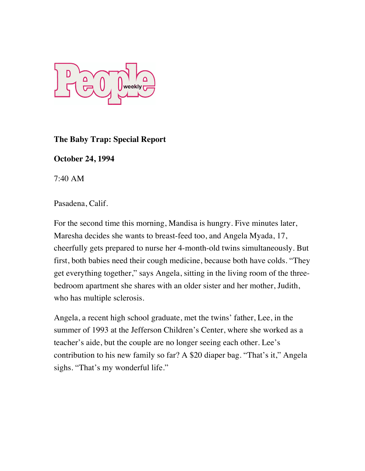

## **The Baby Trap: Special Report**

## **October 24, 1994**

7:40 AM

Pasadena, Calif.

For the second time this morning, Mandisa is hungry. Five minutes later, Maresha decides she wants to breast-feed too, and Angela Myada, 17, cheerfully gets prepared to nurse her 4-month-old twins simultaneously. But first, both babies need their cough medicine, because both have colds. "They get everything together," says Angela, sitting in the living room of the threebedroom apartment she shares with an older sister and her mother, Judith, who has multiple sclerosis.

Angela, a recent high school graduate, met the twins' father, Lee, in the summer of 1993 at the Jefferson Children's Center, where she worked as a teacher's aide, but the couple are no longer seeing each other. Lee's contribution to his new family so far? A \$20 diaper bag. "That's it," Angela sighs. "That's my wonderful life."